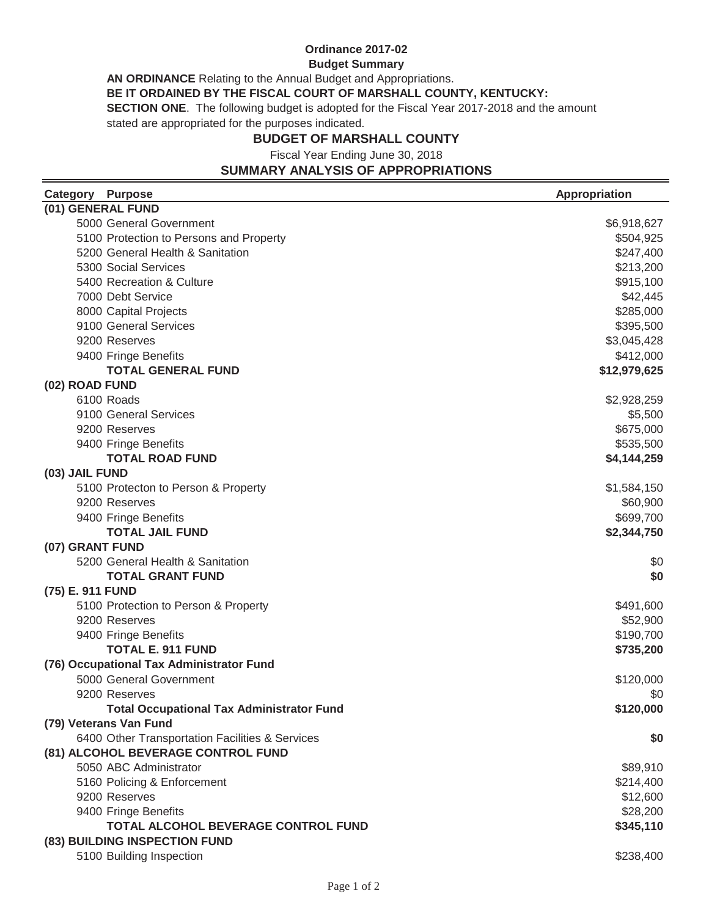## **Ordinance 2017-02**

#### **Budget Summary**

**AN ORDINANCE** Relating to the Annual Budget and Appropriations.

**BE IT ORDAINED BY THE FISCAL COURT OF MARSHALL COUNTY, KENTUCKY:**

**SECTION ONE**. The following budget is adopted for the Fiscal Year 2017-2018 and the amount

stated are appropriated for the purposes indicated.

#### **BUDGET OF MARSHALL COUNTY**

Fiscal Year Ending June 30, 2018

## **SUMMARY ANALYSIS OF APPROPRIATIONS**

| (01) GENERAL FUND<br>5000 General Government     |              |
|--------------------------------------------------|--------------|
|                                                  |              |
|                                                  | \$6,918,627  |
| 5100 Protection to Persons and Property          | \$504,925    |
| 5200 General Health & Sanitation                 | \$247,400    |
| 5300 Social Services                             | \$213,200    |
| 5400 Recreation & Culture                        | \$915,100    |
| 7000 Debt Service                                | \$42,445     |
| 8000 Capital Projects                            | \$285,000    |
| 9100 General Services                            | \$395,500    |
| 9200 Reserves                                    | \$3,045,428  |
| 9400 Fringe Benefits                             | \$412,000    |
| <b>TOTAL GENERAL FUND</b>                        | \$12,979,625 |
| (02) ROAD FUND                                   |              |
| 6100 Roads                                       | \$2,928,259  |
| 9100 General Services                            | \$5,500      |
| 9200 Reserves                                    | \$675,000    |
| 9400 Fringe Benefits                             | \$535,500    |
| <b>TOTAL ROAD FUND</b>                           | \$4,144,259  |
| (03) JAIL FUND                                   |              |
| 5100 Protecton to Person & Property              | \$1,584,150  |
| 9200 Reserves                                    | \$60,900     |
| 9400 Fringe Benefits                             | \$699,700    |
| <b>TOTAL JAIL FUND</b>                           | \$2,344,750  |
| (07) GRANT FUND                                  |              |
| 5200 General Health & Sanitation                 | \$0          |
| <b>TOTAL GRANT FUND</b>                          | \$0          |
| (75) E. 911 FUND                                 |              |
| 5100 Protection to Person & Property             | \$491,600    |
| 9200 Reserves                                    | \$52,900     |
| 9400 Fringe Benefits                             | \$190,700    |
| <b>TOTAL E. 911 FUND</b>                         | \$735,200    |
| (76) Occupational Tax Administrator Fund         |              |
| 5000 General Government                          | \$120,000    |
| 9200 Reserves                                    | \$0          |
| <b>Total Occupational Tax Administrator Fund</b> | \$120,000    |
| (79) Veterans Van Fund                           |              |
| 6400 Other Transportation Facilities & Services  | \$0          |
| (81) ALCOHOL BEVERAGE CONTROL FUND               |              |
| 5050 ABC Administrator                           | \$89,910     |
| 5160 Policing & Enforcement                      | \$214,400    |
| 9200 Reserves                                    | \$12,600     |
| 9400 Fringe Benefits                             | \$28,200     |
| TOTAL ALCOHOL BEVERAGE CONTROL FUND              | \$345,110    |
| (83) BUILDING INSPECTION FUND                    |              |
| 5100 Building Inspection                         | \$238,400    |